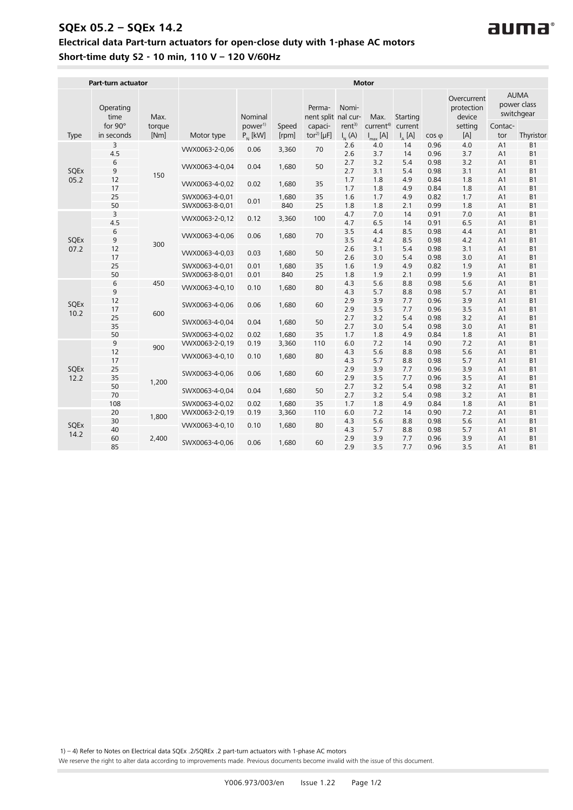## **SQEx 05.2 – SQEx 14.2 Electrical data Part-turn actuators for open-close duty with 1-phase AC motors Short-time duty S2 - 10 min, 110 V – 120 V/60Hz**

|                     | Part-turn actuator                  |                | <b>Motor</b>                     |                                |                |                                 |                                        |                               |                     |                      |                                                |                                        |                                          |
|---------------------|-------------------------------------|----------------|----------------------------------|--------------------------------|----------------|---------------------------------|----------------------------------------|-------------------------------|---------------------|----------------------|------------------------------------------------|----------------------------------------|------------------------------------------|
|                     | Operating<br>time<br>for $90^\circ$ | Max.<br>torque |                                  | Nominal<br>power <sup>1)</sup> | Speed          | Perma-<br>nent split<br>capaci- | Nomi-<br>nal cur-<br>rent <sup>3</sup> | Max.<br>current <sup>4)</sup> | Starting<br>current |                      | Overcurrent<br>protection<br>device<br>setting | Contac-                                | <b>AUMA</b><br>power class<br>switchgear |
| Type                | in seconds                          | [Nm]           | Motor type                       | $P_{N}$ [kW]                   | [rpm]          | tor <sup>2)</sup> [ $\mu$ F]    | $I_{N}$ (A)                            | $I_{\text{max}}$ [A]          | $I_{A}$ [A]         | $\cos \varphi$       | [A]                                            | tor                                    | Thyristor                                |
| SQEx<br>05.2        | 3<br>4.5                            | 150            | VWX0063-2-0,06                   | 0.06                           | 3,360          | 70                              | 2.6<br>2.6                             | 4.0<br>3.7                    | 14<br>14            | 0.96<br>0.96         | 4.0<br>3.7                                     | A1<br>A <sub>1</sub>                   | B <sub>1</sub><br>B1                     |
|                     | 6<br>9                              |                | VWX0063-4-0,04                   | 0.04                           | 1,680          | 50                              | 2.7<br>2.7                             | 3.2<br>3.1                    | 5.4<br>5.4          | 0.98<br>0.98         | 3.2<br>3.1                                     | A <sub>1</sub><br>A1                   | <b>B1</b><br>B1                          |
|                     | 12<br>17                            |                | VWX0063-4-0,02                   | 0.02                           | 1,680          | 35                              | 1.7<br>1.7                             | 1.8<br>1.8                    | 4.9<br>4.9          | 0.84<br>0.84         | 1.8<br>1.8                                     | A <sub>1</sub><br>A <sub>1</sub>       | B1<br><b>B1</b>                          |
|                     | 25<br>50                            |                | SWX0063-4-0,01<br>SWX0063-8-0,01 | 0.01                           | 1,680<br>840   | 35<br>25                        | 1.6<br>1.8                             | 1.7<br>1.8                    | 4.9<br>2.1          | 0.82<br>0.99         | 1.7<br>1.8                                     | A <sub>1</sub><br>A <sub>1</sub>       | B1<br>B1                                 |
|                     | 3<br>4.5                            | 300            | VWX0063-2-0,12                   | 0.12                           | 3,360          | 100                             | 4.7<br>4.7                             | 7.0<br>6.5                    | 14<br>14            | 0.91<br>0.91         | 7.0<br>6.5                                     | A1<br>A <sub>1</sub>                   | <b>B1</b><br>B1                          |
| SQEx                | 6<br>9                              |                | VWX0063-4-0,06                   | 0.06                           | 1,680          | 70                              | 3.5<br>3.5                             | 4.4<br>4.2                    | 8.5<br>8.5          | 0.98<br>0.98         | 4.4<br>4.2                                     | A <sub>1</sub><br>A <sub>1</sub>       | B1<br><b>B1</b>                          |
| 07.2                | 12<br>17                            |                | VWX0063-4-0,03                   | 0.03                           | 1,680          | 50                              | 2.6<br>2.6                             | 3.1<br>3.0                    | 5.4<br>5.4          | 0.98<br>0.98         | 3.1<br>3.0                                     | A <sub>1</sub><br>A1                   | B1<br><b>B1</b>                          |
|                     | 25<br>50                            |                | SWX0063-4-0,01<br>SWX0063-8-0,01 | 0.01<br>0.01                   | 1,680<br>840   | 35<br>25                        | 1.6<br>1.8                             | 1.9<br>1.9                    | 4.9<br>2.1          | 0.82<br>0.99         | 1.9<br>1.9                                     | A <sub>1</sub><br>A <sub>1</sub>       | <b>B1</b><br>B1                          |
|                     | 6<br>9                              | 450<br>600     | VWX0063-4-0,10                   | 0.10                           | 1,680          | 80                              | 4.3<br>4.3                             | 5.6<br>5.7                    | 8.8<br>8.8          | 0.98<br>0.98         | 5.6<br>5.7                                     | A1<br>A <sub>1</sub>                   | B <sub>1</sub><br>B1                     |
| SQEx<br>10.2        | 12<br>17                            |                | SWX0063-4-0,06                   | 0.06                           | 1.680          | 60                              | 2.9<br>2.9                             | 3.9<br>3.5                    | 7.7<br>7.7          | 0.96<br>0.96         | 3.9<br>3.5                                     | A <sub>1</sub><br>A <sub>1</sub>       | B1<br>B <sub>1</sub>                     |
|                     | 25<br>35                            |                | SWX0063-4-0,04                   | 0.04                           | 1,680          | 50                              | 2.7<br>2.7                             | 3.2<br>3.0                    | 5.4<br>5.4          | 0.98<br>0.98         | 3.2<br>3.0                                     | A <sub>1</sub><br>A <sub>1</sub>       | B1<br>B1                                 |
|                     | 50                                  |                | SWX0063-4-0,02                   | 0.02                           | 1,680          | 35                              | 1.7                                    | 1.8                           | 4.9                 | 0.84                 | 1.8                                            | A <sub>1</sub>                         | <b>B1</b>                                |
|                     | 9                                   | 900            | VWX0063-2-0,19                   | 0.19                           | 3,360          | 110                             | 6.0                                    | 7.2                           | 14                  | 0.90                 | 7.2                                            | A1                                     | B <sub>1</sub>                           |
|                     | 12<br>17                            | 1,200          | VWX0063-4-0,10                   | 0.10                           | 1,680          | 80                              | 4.3<br>4.3                             | 5.6<br>5.7                    | 8.8<br>8.8          | 0.98<br>0.98         | 5.6<br>5.7                                     | A <sub>1</sub><br>A <sub>1</sub>       | B1<br><b>B1</b>                          |
| <b>SQEx</b><br>12.2 | 25<br>35                            |                | SWX0063-4-0.06                   | 0.06                           | 1,680          | 60                              | 2.9<br>2.9                             | 3.9<br>3.5                    | 7.7<br>7.7          | 0.96<br>0.96         | 3.9<br>3.5                                     | A <sub>1</sub><br>A <sub>1</sub>       | <b>B1</b><br>B1                          |
| SQEx<br>14.2        | 50<br>70                            |                | SWX0063-4-0,04                   | 0.04                           | 1,680          | 50                              | 2.7<br>2.7                             | 3.2<br>3.2                    | 5.4<br>5.4          | 0.98<br>0.98         | 3.2<br>3.2                                     | A <sub>1</sub><br>A <sub>1</sub>       | B1<br><b>B1</b>                          |
|                     | 108                                 |                | SWX0063-4-0,02                   | 0.02                           | 1,680          | 35                              | 1.7                                    | 1.8                           | 4.9                 | 0.84                 | 1.8                                            | A <sub>1</sub>                         | <b>B1</b>                                |
|                     | 20<br>30                            | 1,800          | VWX0063-2-0,19<br>VWX0063-4-0.10 | 0.19<br>0.10                   | 3,360<br>1,680 | 110<br>80                       | 6.0<br>4.3                             | 7.2<br>5.6                    | 14<br>8.8           | 0.90<br>0.98         | 7.2<br>5.6                                     | A <sub>1</sub><br>A <sub>1</sub>       | B1<br>B1                                 |
|                     | 40<br>60<br>85                      | 2,400          | SWX0063-4-0,06                   | 0.06                           | 1,680          | 60                              | 4.3<br>2.9<br>2.9                      | 5.7<br>3.9<br>3.5             | 8.8<br>7.7<br>7.7   | 0.98<br>0.96<br>0.96 | 5.7<br>3.9<br>3.5                              | A1<br>A <sub>1</sub><br>A <sub>1</sub> | <b>B1</b><br>B1<br>B1                    |

auma

1) – 4) Refer to Notes on Electrical data SQEx .2/SQREx .2 part-turn actuators with 1-phase AC motors

We reserve the right to alter data according to improvements made. Previous documents become invalid with the issue of this document.